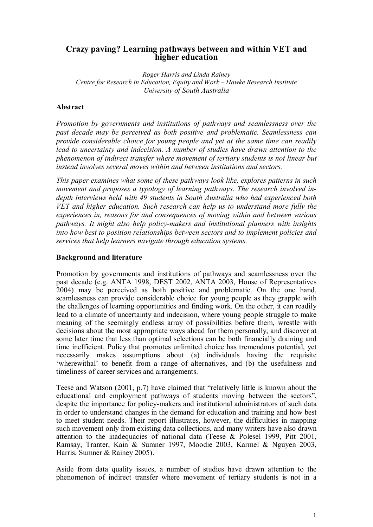# **Crazy paving? Learning pathways between and within VET and higher education**

*Roger Harris and Linda Rainey Centre for Research in Education, Equity and Work – Hawke Research Institute University of South Australia*

# **Abstract**

*Promotion by governments and institutions of pathways and seamlessness over the past decade may be perceived as both positive and problematic. Seamlessness can provide considerable choice for young people and yet at the same time can readily lead to uncertainty and indecision. A number of studies have drawn attention to the phenomenon of indirect transfer where movement of tertiary students is not linear but instead involves several moves within and between institutions and sectors.*

*This paper examines what some of these pathways look like, explores patterns in such movement and proposes a typology of learning pathways. The research involved indepth interviews held with 49 students in South Australia who had experienced both VET and higher education. Such research can help us to understand more fully the experiences in, reasons for and consequences of moving within and between various pathways. It might also help policy-makers and institutional planners with insights into how best to position relationships between sectors and to implement policies and services that help learners navigate through education systems.*

# **Background and literature**

Promotion by governments and institutions of pathways and seamlessness over the past decade (e.g. ANTA 1998, DEST 2002, ANTA 2003, House of Representatives 2004) may be perceived as both positive and problematic. On the one hand, seamlessness can provide considerable choice for young people as they grapple with the challenges of learning opportunities and finding work. On the other, it can readily lead to a climate of uncertainty and indecision, where young people struggle to make meaning of the seemingly endless array of possibilities before them, wrestle with decisions about the most appropriate ways ahead for them personally, and discover at some later time that less than optimal selections can be both financially draining and time inefficient. Policy that promotes unlimited choice has tremendous potential, yet necessarily makes assumptions about (a) individuals having the requisite 'wherewithal' to benefit from a range of alternatives, and (b) the usefulness and timeliness of career services and arrangements.

Teese and Watson (2001, p.7) have claimed that "relatively little is known about the educational and employment pathways of students moving between the sectors", despite the importance for policy-makers and institutional administrators of such data in order to understand changes in the demand for education and training and how best to meet student needs. Their report illustrates, however, the difficulties in mapping such movement only from existing data collections, and many writers have also drawn attention to the inadequacies of national data (Teese & Polesel 1999, Pitt 2001, Ramsay, Tranter, Kain & Sumner 1997, Moodie 2003, Karmel & Nguyen 2003, Harris, Sumner & Rainey 2005).

Aside from data quality issues, a number of studies have drawn attention to the phenomenon of indirect transfer where movement of tertiary students is not in a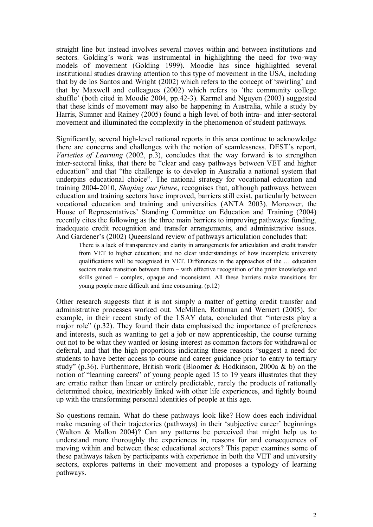straight line but instead involves several moves within and between institutions and sectors. Golding's work was instrumental in highlighting the need for two-way models of movement (Golding 1999). Moodie has since highlighted several institutional studies drawing attention to this type of movement in the USA, including that by de los Santos and Wright (2002) which refers to the concept of 'swirling' and that by Maxwell and colleagues (2002) which refers to 'the community college shuffle' (both cited in Moodie 2004, pp.42-3). Karmel and Nguyen (2003) suggested that these kinds of movement may also be happening in Australia, while a study by Harris, Sumner and Rainey (2005) found a high level of both intra- and inter-sectoral movement and illuminated the complexity in the phenomenon of student pathways.

Significantly, several high-level national reports in this area continue to acknowledge there are concerns and challenges with the notion of seamlessness. DEST's report, *Varieties of Learning* (2002, p.3), concludes that the way forward is to strengthen inter-sectoral links, that there be "clear and easy pathways between VET and higher education" and that "the challenge is to develop in Australia a national system that underpins educational choice". The national strategy for vocational education and training 20042010, *Shaping our future*, recognises that, although pathways between education and training sectors have improved, barriers still exist, particularly between vocational education and training and universities (ANTA 2003). Moreover, the House of Representatives' Standing Committee on Education and Training (2004) recently cites the following as the three main barriers to improving pathways: funding, inadequate credit recognition and transfer arrangements, and administrative issues. And Gardener's (2002) Queensland review of pathways articulation concludes that:

There is a lack of transparency and clarity in arrangements for articulation and credit transfer from VET to higher education; and no clear understandings of how incomplete university qualifications will be recognised in VET. Differences in the approaches of the … education sectors make transition between them – with effective recognition of the prior knowledge and skills gained – complex, opaque and inconsistent. All these barriers make transitions for young people more difficult and time consuming. (p.12)

Other research suggests that it is not simply a matter of getting credit transfer and administrative processes worked out. McMillen, Rothman and Wernert (2005), for example, in their recent study of the LSAY data, concluded that "interests play a major role" (p.32). They found their data emphasised the importance of preferences and interests, such as wanting to get a job or new apprenticeship, the course turning out not to be what they wanted or losing interest as common factors for withdrawal or deferral, and that the high proportions indicating these reasons "suggest a need for students to have better access to course and career guidance prior to entry to tertiary study" (p.36). Furthermore, British work (Bloomer & Hodkinson, 2000a & b) on the notion of "learning careers" of young people aged 15 to 19 years illustrates that they are erratic rather than linear or entirely predictable, rarely the products of rationally determined choice, inextricably linked with other life experiences, and tightly bound up with the transforming personal identities of people at this age.

So questions remain. What do these pathways look like? How does each individual make meaning of their trajectories (pathways) in their 'subjective career' beginnings (Walton & Mallon 2004)? Can any patterns be perceived that might help us to understand more thoroughly the experiences in, reasons for and consequences of moving within and between these educational sectors? This paper examines some of these pathways taken by participants with experience in both the VET and university sectors, explores patterns in their movement and proposes a typology of learning pathways.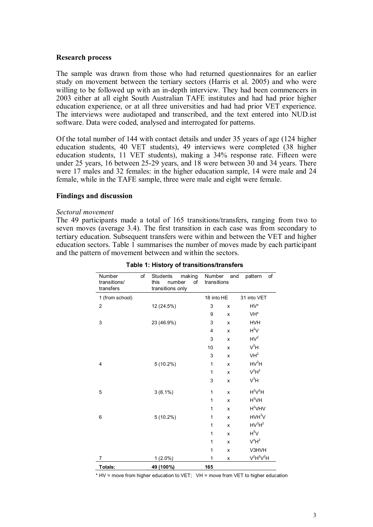# **Research process**

The sample was drawn from those who had returned questionnaires for an earlier study on movement between the tertiary sectors (Harris et al. 2005) and who were willing to be followed up with an in-depth interview. They had been commencers in 2003 either at all eight South Australian TAFE institutes and had had prior higher education experience, or at all three universities and had had prior VET experience. The interviews were audiotaped and transcribed, and the text entered into NUD.ist software. Data were coded, analysed and interrogated for patterns.

Of the total number of 144 with contact details and under 35 years of age (124 higher education students, 40 VET students), 49 interviews were completed (38 higher education students, 11 VET students), making a 34% response rate. Fifteen were under 25 years, 16 between 25-29 years, and 18 were between 30 and 34 years. There were 17 males and 32 females: in the higher education sample, 14 were male and 24 female, while in the TAFE sample, three were male and eight were female.

# **Findings and discussion**

# *Sectoral movement*

The 49 participants made a total of 165 transitions/transfers, ranging from two to seven moves (average 3.4). The first transition in each case was from secondary to tertiary education. Subsequent transfers were within and between the VET and higher education sectors. Table 1 summarises the number of moves made by each participant and the pattern of movement between and within the sectors.

| Totals:                | 49 (100%)                                               | 165                   |     |                                |
|------------------------|---------------------------------------------------------|-----------------------|-----|--------------------------------|
| 7                      | $1(2.0\%)$                                              | 1                     | x   | $V^2H^2V^2H$                   |
|                        |                                                         | 1                     | X   | V3HVH                          |
|                        |                                                         | 1                     | X   | $V^4H^2$                       |
|                        |                                                         | 1                     | X   | $H^5V$                         |
|                        |                                                         | 1                     | x   | HV <sup>3</sup> H <sup>2</sup> |
| 6                      | 5 (10.2%)                                               | 1                     | X   | HVH <sup>3</sup> V             |
|                        |                                                         | 1                     | X   | $H^2VHV$                       |
|                        |                                                         | 1                     | X   | $H^3VH$                        |
| 5                      | $3(6.1\%)$                                              | $\mathbf{1}$          | X   | $H^2V^2H$                      |
|                        |                                                         | 3                     | x   | V <sup>3</sup> H               |
|                        |                                                         | 1                     | x   | $V^2H^2$                       |
| 4                      | 5 (10.2%)                                               | 1                     | x   | HV <sup>2</sup> H              |
|                        |                                                         | 3                     | x   | VH <sup>2</sup>                |
|                        |                                                         | 10                    | x   | $V^2H$                         |
|                        |                                                         | 3                     | x   | HV <sup>2</sup>                |
|                        |                                                         | 4                     | x   | $H^2V$                         |
| 3                      | 23 (46.9%)                                              | 3                     | x   | <b>HVH</b>                     |
|                        |                                                         | 9                     | x   | VH <sup>*</sup>                |
| $\overline{2}$         | 12 (24.5%)                                              | 3                     | x   | HV*                            |
| 1 (from school)        |                                                         | 18 into HE            |     | 31 into VET                    |
| transfers              | transitions only                                        |                       |     |                                |
| Number<br>transitions/ | of<br><b>Students</b><br>making<br>this<br>number<br>of | Number<br>transitions | and | of<br>pattern                  |

#### **Table 1: History of transitions/transfers**

\* HV = move from higher education to VET; VH = move from VET to higher education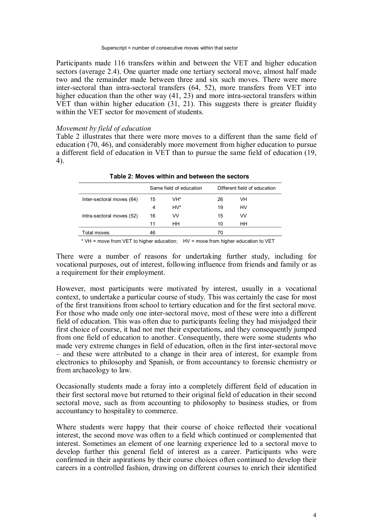Participants made 116 transfers within and between the VET and higher education sectors (average 2.4). One quarter made one tertiary sectoral move, almost half made two and the remainder made between three and six such moves. There were more inter-sectoral than intra-sectoral transfers  $(64, 52)$ , more transfers from VET into higher education than the other way  $(41, 23)$  and more intra-sectoral transfers within VET than within higher education (31, 21). This suggests there is greater fluidity within the VET sector for movement of students.

# *Movement by field of education*

Table 2 illustrates that there were more moves to a different than the same field of education (70, 46), and considerably more movement from higher education to pursue a different field of education in VET than to pursue the same field of education (19, 4).

|                           | Same field of education |     | Different field of education |    |  |
|---------------------------|-------------------------|-----|------------------------------|----|--|
| Inter-sectoral moves (64) | 15                      | VH* | 26                           | VH |  |
|                           | 4                       | HV* | 19                           | HV |  |
| Intra-sectoral moves (52) | 16                      | VV  | 15                           | VV |  |
|                           | 11                      | HН  | 10                           | HН |  |
| Total moves               | 46                      |     | 70                           |    |  |

**Table 2: Moves within and between the sectors**

\* VH = move from VET to higher education; HV = move from higher education to VET

There were a number of reasons for undertaking further study, including for vocational purposes, out of interest, following influence from friends and family or as a requirement for their employment.

However, most participants were motivated by interest, usually in a vocational context, to undertake a particular course of study. This was certainly the case for most of the first transitions from school to tertiary education and for the first sectoral move. For those who made only one inter-sectoral move, most of these were into a different field of education. This was often due to participants feeling they had misjudged their first choice of course, it had not met their expectations, and they consequently jumped from one field of education to another. Consequently, there were some students who made very extreme changes in field of education, often in the first inter-sectoral move – and these were attributed to a change in their area of interest, for example from electronics to philosophy and Spanish, or from accountancy to forensic chemistry or from archaeology to law.

Occasionally students made a foray into a completely different field of education in their first sectoral move but returned to their original field of education in their second sectoral move, such as from accounting to philosophy to business studies, or from accountancy to hospitality to commerce.

Where students were happy that their course of choice reflected their vocational interest, the second move was often to a field which continued or complemented that interest. Sometimes an element of one learning experience led to a sectoral move to develop further this general field of interest as a career. Participants who were confirmed in their aspirations by their course choices often continued to develop their careers in a controlled fashion, drawing on different courses to enrich their identified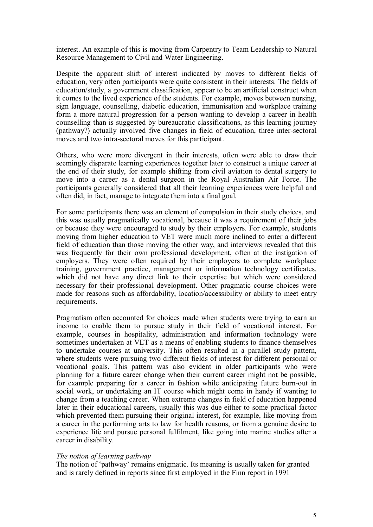interest. An example of this is moving from Carpentry to Team Leadership to Natural Resource Management to Civil and Water Engineering.

Despite the apparent shift of interest indicated by moves to different fields of education, very often participants were quite consistent in their interests. The fields of education/study, a government classification, appear to be an artificial construct when it comes to the lived experience of the students. For example, moves between nursing, sign language, counselling, diabetic education, immunisation and workplace training form a more natural progression for a person wanting to develop a career in health counselling than is suggested by bureaucratic classifications, as this learning journey (pathway?) actually involved five changes in field of education, three inter-sectoral moves and two intra-sectoral moves for this participant.

Others, who were more divergent in their interests, often were able to draw their seemingly disparate learning experiences together later to construct a unique career at the end of their study, for example shifting from civil aviation to dental surgery to move into a career as a dental surgeon in the Royal Australian Air Force. The participants generally considered that all their learning experiences were helpful and often did, in fact, manage to integrate them into a final goal.

For some participants there was an element of compulsion in their study choices, and this was usually pragmatically vocational, because it was a requirement of their jobs or because they were encouraged to study by their employers. For example, students moving from higher education to VET were much more inclined to enter a different field of education than those moving the other way, and interviews revealed that this was frequently for their own professional development, often at the instigation of employers. They were often required by their employers to complete workplace training, government practice, management or information technology certificates, which did not have any direct link to their expertise but which were considered necessary for their professional development. Other pragmatic course choices were made for reasons such as affordability, location/accessibility or ability to meet entry requirements.

Pragmatism often accounted for choices made when students were trying to earn an income to enable them to pursue study in their field of vocational interest. For example, courses in hospitality, administration and information technology were sometimes undertaken at VET as a means of enabling students to finance themselves to undertake courses at university. This often resulted in a parallel study pattern, where students were pursuing two different fields of interest for different personal or vocational goals. This pattern was also evident in older participants who were planning for a future career change when their current career might not be possible, for example preparing for a career in fashion while anticipating future burn-out in social work, or undertaking an IT course which might come in handy if wanting to change from a teaching career. When extreme changes in field of education happened later in their educational careers, usually this was due either to some practical factor which prevented them pursuing their original interest**,** for example, like moving from a career in the performing arts to law for health reasons, or from a genuine desire to experience life and pursue personal fulfilment, like going into marine studies after a career in disability.

# *The notion of learning pathway*

The notion of 'pathway' remains enigmatic. Its meaning is usually taken for granted and is rarely defined in reports since first employed in the Finn report in 1991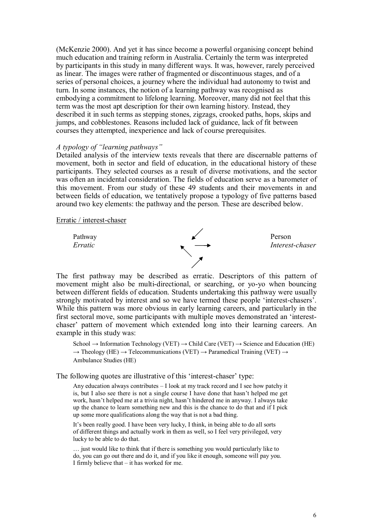(McKenzie 2000). And yet it has since become a powerful organising concept behind much education and training reform in Australia. Certainly the term was interpreted by participants in this study in many different ways. It was, however, rarely perceived as linear. The images were rather of fragmented or discontinuous stages, and of a series of personal choices, a journey where the individual had autonomy to twist and turn. In some instances, the notion of a learning pathway was recognised as embodying a commitment to lifelong learning. Moreover, many did not feel that this term was the most apt description for their own learning history. Instead, they described it in such terms as stepping stones, zigzags, crooked paths, hops, skips and jumps, and cobblestones. Reasons included lack of guidance, lack of fit between courses they attempted, inexperience and lack of course prerequisites.

## *A typology of "learning pathways"*

Detailed analysis of the interview texts reveals that there are discernable patterns of movement, both in sector and field of education, in the educational history of these participants. They selected courses as a result of diverse motivations, and the sector was often an incidental consideration. The fields of education serve as a barometer of this movement. From our study of these 49 students and their movements in and between fields of education, we tentatively propose a typology of five patterns based around two key elements: the pathway and the person. These are described below.

### Erratic / interest-chaser



The first pathway may be described as erratic. Descriptors of this pattern of movement might also be multi-directional, or searching, or yo-yo when bouncing between different fields of education. Students undertaking this pathway were usually strongly motivated by interest and so we have termed these people 'interest-chasers'. While this pattern was more obvious in early learning careers, and particularly in the first sectoral move, some participants with multiple moves demonstrated an 'interest chaser' pattern of movement which extended long into their learning careers. An example in this study was:

School  $\rightarrow$  Information Technology (VET)  $\rightarrow$  Child Care (VET)  $\rightarrow$  Science and Education (HE)  $\rightarrow$  Theology (HE)  $\rightarrow$  Telecommunications (VET)  $\rightarrow$  Paramedical Training (VET)  $\rightarrow$ Ambulance Studies (HE)

# The following quotes are illustrative of this 'interest-chaser' type:

Any education always contributes – I look at my track record and I see how patchy it is, but I also see there is not a single course I have done that hasn't helped me get work, hasn't helped me at a trivia night, hasn't hindered me in anyway. I always take up the chance to learn something new and this is the chance to do that and if I pick up some more qualifications along the way that is not a bad thing.

It's been really good. I have been very lucky, I think, in being able to do all sorts of different things and actually work in them as well, so I feel very privileged, very lucky to be able to do that.

… just would like to think that if there is something you would particularly like to do, you can go out there and do it, and if you like it enough, someone will pay you. I firmly believe that – it has worked for me.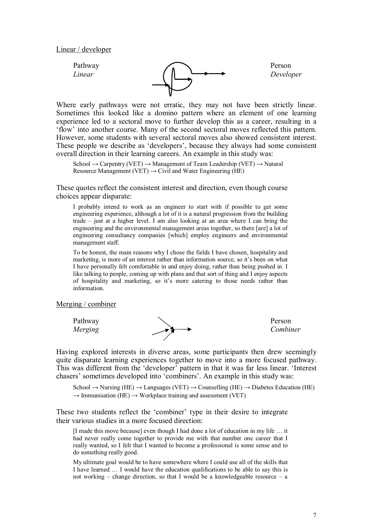Linear / developer



Where early pathways were not erratic, they may not have been strictly linear. Sometimes this looked like a domino pattern where an element of one learning experience led to a sectoral move to further develop this as a career, resulting in a 'flow' into another course. Many of the second sectoral moves reflected this pattern. However, some students with several sectoral moves also showed consistent interest. These people we describe as 'developers', because they always had some consistent overall direction in their learning careers. An example in this study was:

School  $\rightarrow$  Carpentry (VET)  $\rightarrow$  Management of Team Leadership (VET)  $\rightarrow$  Natural Resource Management (VET)  $\rightarrow$  Civil and Water Engineering (HE)

These quotes reflect the consistent interest and direction, even though course choices appear disparate:

I probably intend to work as an engineer to start with if possible to get some engineering experience, although a lot of it is a natural progression from the building trade – just at a higher level. I am also looking at an area where I can bring the engineering and the environmental management areas together, so there [are] a lot of engineering consultancy companies [which] employ engineers and environmental management staff.

To be honest, the main reasons why I chose the fields I have chosen, hospitality and marketing, is more of an interest rather than information source, so it's been on what I have personally felt comfortable in and enjoy doing, rather than being pushed in. I like talking to people, coming up with plans and that sort of thing and I enjoy aspects of hospitality and marketing, so it's more catering to those needs rather than information.

Merging / combiner



Having explored interests in diverse areas, some participants then drew seemingly quite disparate learning experiences together to move into a more focused pathway. This was different from the 'developer' pattern in that it was far less linear. 'Interest chasers' sometimes developed into 'combiners'. An example in this study was:

School  $\rightarrow$  Nursing (HE)  $\rightarrow$  Languages (VET)  $\rightarrow$  Counselling (HE)  $\rightarrow$  Diabetes Education (HE)  $\rightarrow$  Immunisation (HE)  $\rightarrow$  Workplace training and assessment (VET)

These two students reflect the 'combiner' type in their desire to integrate their various studies in a more focused direction:

[I made this move because] even though I had done a lot of education in my life … it had never really come together to provide me with that number one career that I really wanted, so I felt that I wanted to become a professional is some sense and to do something really good.

My ultimate goal would be to have somewhere where I could use all of the skills that I have learned … I would have the education qualifications to be able to say this is not working – change direction, so that I would be a knowledgeable resource – a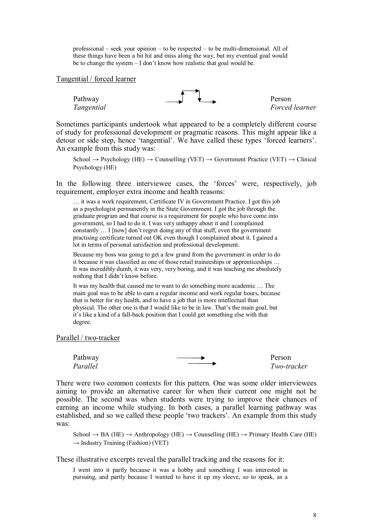$professional - seek your opinion - to be respected - to be multidimensional. All of$ these things have been a bit hit and miss along the way, but my eventual goal would be to change the system – I don't know how realistic that goal would be.

#### Tangential / forced learner



*Tangential Forced learner*

Sometimes participants undertook what appeared to be a completely different course of study for professional development or pragmatic reasons. This might appear like a detour or side step, hence 'tangential'. We have called these types 'forced learners'. An example from this study was:

School  $\rightarrow$  Psychology (HE)  $\rightarrow$  Counselling (VET)  $\rightarrow$  Government Practice (VET)  $\rightarrow$  Clinical Psychology (HE)

In the following three interviewee cases, the 'forces' were, respectively, job requirement, employer extra income and health reasons:

… it was a work requirement, Certificate IV in Government Practice. I got this job as a psychologist permanently in the State Government. I got the job through the graduate program and that course is a requirement for people who have come into government, so I had to do it. I was very unhappy about it and I complained constantly … I [now] don't regret doing any of that stuff, even the government practising certificate turned out OK even though I complained about it. I gained a lot in terms of personal satisfaction and professional development.

Because my boss was going to get a few grand from the government in order to do it because it was classified as one of those retail traineeships or apprenticeships … It was incredibly dumb, it was very, very boring, and it was teaching me absolutely nothing that I didn't know before.

It was my health that caused me to want to do something more academic … The main goal was to be able to earn a regular income and work regular hours, because that is better for my health, and to have a job that is more intellectual than physical. The other one is that I would like to be in law. That's the main goal, but it's like a kind of a fall-back position that I could get something else with that degree.

#### Parallel / two-tracker

Pathway Person

*Parallel* Two-tracker

There were two common contexts for this pattern. One was some older interviewees aiming to provide an alternative career for when their current one might not be possible. The second was when students were trying to improve their chances of earning an income while studying. In both cases, a parallel learning pathway was established, and so we called these people 'two trackers'. An example from this study was:

School  $\rightarrow$  BA (HE)  $\rightarrow$  Anthropology (HE)  $\rightarrow$  Counselling (HE)  $\rightarrow$  Primary Health Care (HE)  $\rightarrow$  Industry Training (Fashion) (VET)

These illustrative excerpts reveal the parallel tracking and the reasons for it:

I went into it partly because it was a hobby and something I was interested in pursuing, and partly because I wanted to have it up my sleeve, so to speak, as a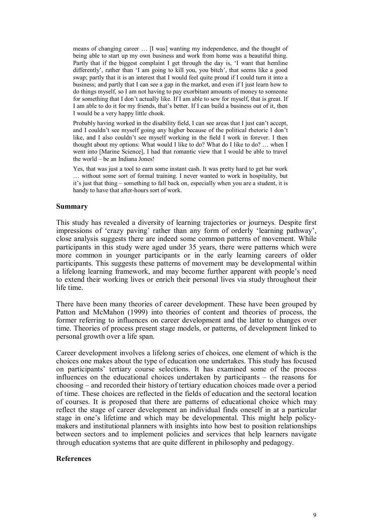means of changing career … [I was] wanting my independence, and the thought of being able to start up my own business and work from home was a beautiful thing. Partly that if the biggest complaint I get through the day is, 'I want that hemline differently', rather than 'I am going to kill you, you bitch', that seems like a good swap; partly that it is an interest that I would feel quite proud if I could turn it into a business; and partly that I can see a gap in the market, and even if I just learn how to do things myself, so I am not having to pay exorbitant amounts of money to someone for something that I don't actually like. If I am able to sew for myself, that is great. If I am able to do it for my friends, that's better. If I can build a business out of it, then I would be a very happy little chook.

Probably having worked in the disability field, I can see areas that I just can't accept, and I couldn't see myself going any higher because of the political rhetoric I don't like, and I also couldn't see myself working in the field I work in forever. I then thought about my options: What would I like to do? What do I like to do? … when I went into [Marine Science], I had that romantic view that I would be able to travel the world – be an Indiana Jones!

Yes, that was just a tool to earn some instant cash. It was pretty hard to get bar work … without some sort of formal training. I never wanted to work in hospitality, but it's just that thing – something to fall back on, especially when you are a student, it is handy to have that after-hours sort of work.

# **Summary**

This study has revealed a diversity of learning trajectories or journeys. Despite first impressions of 'crazy paving' rather than any form of orderly 'learning pathway', close analysis suggests there are indeed some common patterns of movement. While participants in this study were aged under 35 years, there were patterns which were more common in younger participants or in the early learning careers of older participants. This suggests these patterns of movement may be developmental within a lifelong learning framework, and may become further apparent with people's need to extend their working lives or enrich their personal lives via study throughout their life time.

There have been many theories of career development. These have been grouped by Patton and McMahon (1999) into theories of content and theories of process, the former referring to influences on career development and the latter to changes over time. Theories of process present stage models, or patterns, of development linked to personal growth over a life span.

Career development involves a lifelong series of choices, one element of which is the choices one makes about the type of education one undertakes. This study has focused on participants' tertiary course selections. It has examined some of the process influences on the educational choices undertaken by participants – the reasons for choosing – and recorded their history of tertiary education choices made over a period of time. These choices are reflected in the fields of education and the sectoral location of courses. It is proposed that there are patterns of educational choice which may reflect the stage of career development an individual finds oneself in at a particular stage in one's lifetime and which may be developmental. This might help policy makers and institutional planners with insights into how best to position relationships between sectors and to implement policies and services that help learners navigate through education systems that are quite different in philosophy and pedagogy.

# **References**